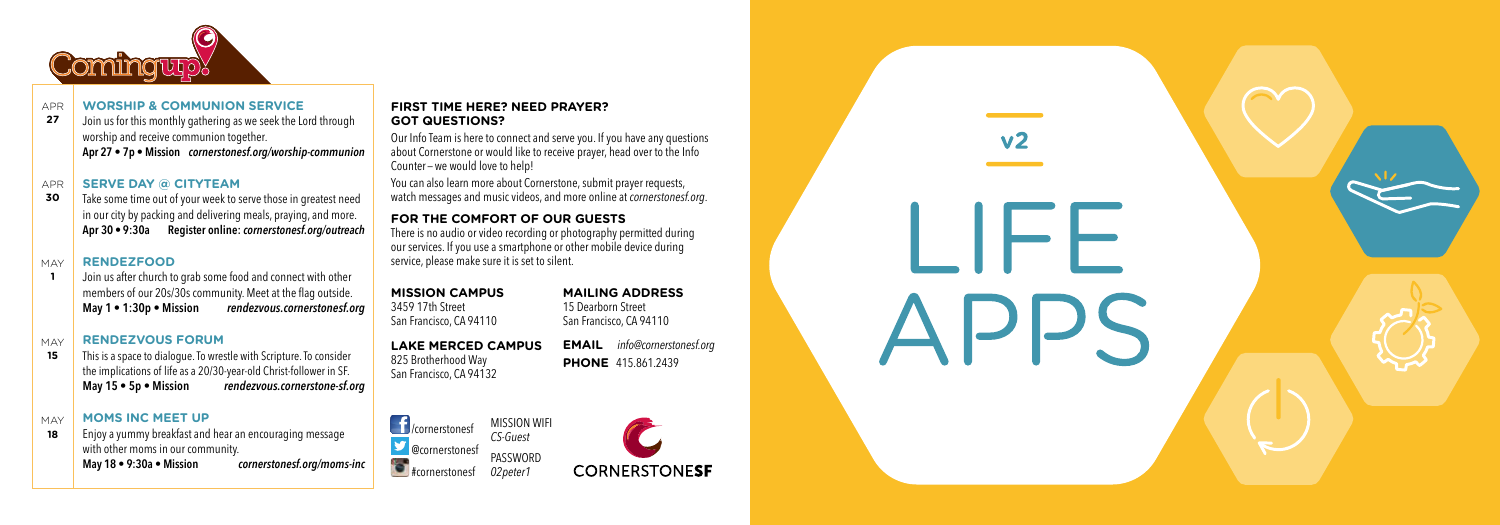

### APR **WORSHIP & COMMUNION SERVICE**

**27** Join us for this monthly gathering as we seek the Lord through worship and receive communion together. **Apr 27 • 7p • Mission** *cornerstonesf.org/worship-communion*

### APR **SERVE DAY @ CITYTEAM**

**30** Take some time out of your week to serve those in greatest need in our city by packing and delivering meals, praying, and more. **Apr 30 • 9:30a Register online:** *cornerstonesf.org/outreach*

### MAY **RENDEZFOOD**

**1** Join us after church to grab some food and connect with other members of our 20s/30s community. Meet at the flag outside. **May 1 • 1:30p • Mission** *rendezvous.cornerstonesf.org*

#### MAY **RENDEZVOUS FORUM**

**15** This is a space to dialogue. To wrestle with Scripture. To consider the implications of life as a 20/30-year-old Christ-follower in SF. **May 15 • 5p • Mission** *rendezvous.cornerstone-sf.org*

### MAY **MOMS INC MEET UP**

**18** Enjoy a yummy breakfast and hear an encouraging message with other moms in our community. **May 18 • 9:30a • Mission** *cornerstonesf.org/moms-inc*

# **FIRST TIME HERE? NEED PRAYER? GOT QUESTIONS?**

Our Info Team is here to connect and serve you. If you have any questions about Cornerstone or would like to receive prayer, head over to the Info Counter — we would love to help!

You can also learn more about Cornerstone, submit prayer requests, watch messages and music videos, and more online at *cornerstonesf.org*.

# **FOR THE COMFORT OF OUR GUESTS**

There is no audio or video recording or photography permitted during our services. If you use a smartphone or other mobile device during service, please make sure it is set to silent.

**MISSION CAMPUS** 3459 17th Street San Francisco, CA 94110

**LAKE MERCED CAMPUS** 825 Brotherhood Way San Francisco, CA 94132

San Francisco, CA 94110 **EMAIL** *info@cornerstonesf.org*

**MAILING ADDRESS** 15 Dearborn Street

▁╽┝┝╘

**PHONE** 415.861.2439

**Fill**/cornerstonesf **Example:** @cornerstonesf **Externe** from erstonesf MISSION WIFI *CS-Guest* PASSWORD *02peter1*